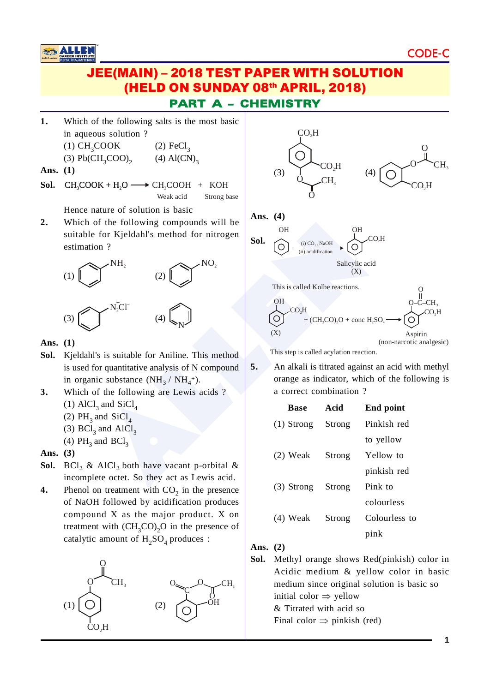

**1.** Which of the following salts is the most basic in aqueous solution ?  $(1)$  CH<sub>3</sub> COOK (2)  $\text{FeCl}_3$ 

(3) Pb
$$
(CH_3COO)_2
$$
 (4) Al $(CN)_3$ 

**Ans. (1)**

**Sol.**  $CH_3COOK + H_2O \longrightarrow CH_3COOH + KOH$ Weak acid Strong base

Hence nature of solution is basic

**2.** Which of the following compounds will be suitable for Kjeldahl's method for nitrogen estimation ?



**Ans. (1)**

- **Sol.** Kjeldahl's is suitable for Aniline. This method is used for quantitative analysis of N compound in organic substance  $(NH_3 / NH_4^+)$ .
- **3.** Which of the following are Lewis acids ? (1)  $AlCl<sub>3</sub>$  and  $SiCl<sub>4</sub>$ 
	- (2)  $PH_3$  and  $SiCl_4$
	- (3)  $BCl<sub>3</sub>$  and  $AICl<sub>3</sub>$
	- (4)  $PH_3$  and  $BCl_3$
- **Ans. (3)**
- **Sol.**  $BCI_3 \& AICI_3$  both have vacant p-orbital  $\&$ incomplete octet. So they act as Lewis acid.
- **4.** Phenol on treatment with  $CO_2$  in the presence of NaOH followed by acidification produces compound X as the major product. X on treatment with  $\left(\text{CH}_3\text{CO}\right)_2\text{O}$  in the presence of catalytic amount of  $H_2SO_4$  produces :





This step is called acylation reaction.

**5.** An alkali is titrated against an acid with methyl orange as indicator, which of the following is a correct combination ?

(non-narcotic analgesic)

| <b>Base</b>  | Acid   | End point     |
|--------------|--------|---------------|
| $(1)$ Strong | Strong | Pinkish red   |
|              |        | to yellow     |
| $(2)$ Weak   | Strong | Yellow to     |
|              |        | pinkish red   |
| $(3)$ Strong | Strong | Pink to       |
|              |        | colourless    |
| $(4)$ Weak   | Strong | Colourless to |
|              |        | pink          |

#### **Ans. (2)**

**Sol.** Methyl orange shows Red(pinkish) color in Acidic medium & yellow color in basic medium since original solution is basic so initial color  $\Rightarrow$  yellow & Titrated with acid so Final color  $\Rightarrow$  pinkish (red)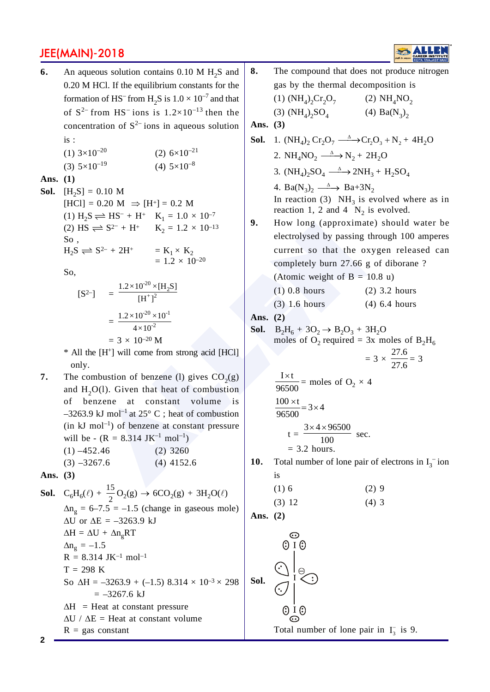**6.** An aqueous solution contains  $0.10 M H_2S$  and 0.20 M HCl. If the equilibrium constants for the formation of HS<sup>-</sup> from H<sub>2</sub>S is  $1.0 \times 10^{-7}$  and that of  $S^{2-}$  from HS<sup>-</sup> ions is  $1.2 \times 10^{-13}$  then the concentration of  $S^{2-}$  ions in aqueous solution is :

| (1) $3\times10^{-20}$     | $(2)$ 6×10 <sup>-21</sup> |
|---------------------------|---------------------------|
| $(3)$ 5×10 <sup>-19</sup> | $(4)$ 5×10 <sup>-8</sup>  |

#### **Ans. (1)**

**Sol.**  $[H_2S] = 0.10 M$  $[HCI] = 0.20 M \implies [H^+] = 0.2 M$ (1)  $H_2S \rightleftharpoons HS^- + H^+$   $K_1 = 1.0 \times 10^{-7}$ (2) HS  $\rightleftharpoons$  S<sup>2-</sup> + H<sup>+</sup> K<sub>2</sub> = 1.2 × 10<sup>-13</sup> So ,  $H_2S \rightleftharpoons S^{2-} + 2H^+$  =  $K_1 \times K_2$ <br>= 1.2 × 10<sup>-20</sup>

So,

$$
[S2 - J = \frac{1.2 \times 10^{-20} \times [H_2S]}{[H^+]^2}
$$
  
= 
$$
\frac{1.2 \times 10^{-20} \times 10^{-1}}{4 \times 10^{-2}}
$$
  
= 
$$
3 \times 10^{-20} M
$$

\* All the [H + ] will come from strong acid [HCl] only.

**7.** The combustion of benzene (1) gives  $CO<sub>2</sub>(g)$ and  $H_2O(1)$ . Given that heat of combustion of benzene at constant volume is  $-3263.9$  kJ mol<sup>-1</sup> at 25° C; heat of combustion  $(in \text{ } kJ \text{ } mol^{-1})$  of benzene at constant pressure will be -  $(R = 8.314 \text{ JK}^{-1} \text{ mol}^{-1})$  $(1) -452.46$  (2) 3260  $(3)$  –3267.6 (4) 4152.6

**Ans. (3)**

**2**

**Sol.** 
$$
C_6H_6(\ell) + \frac{15}{2}O_2(g) \rightarrow 6CO_2(g) + 3H_2O(\ell)
$$
  
\n $\Delta n_g = 6-7.5 = -1.5$  (change in gaseous mole)  
\n $\Delta U$  or  $\Delta E = -3263.9$  kJ  
\n $\Delta H = \Delta U + \Delta n_g RT$   
\n $\Delta n_g = -1.5$   
\n $R = 8.314$  JK<sup>-1</sup> mol<sup>-1</sup>  
\nT = 298 K  
\nSo  $\Delta H = -3263.9 + (-1.5)$  8.314 × 10<sup>-3</sup> × 298  
\n= -3267.6 kJ  
\n $\Delta H$  = Heat at constant pressure  
\n $\Delta U / \Delta E$  = Heat at constant volume  
\n $R = gas$  constant

(1)  $(NH_4)_2Cr_2O_7$ (2)  $NH_4NO_2$ (3)  $(NH_4)_2SO_4$ (4)  $Ba(N_3)_2$ **Ans. (3) Sol.** 1.  $(NH_4)_2$   $Cr_2O_7 \xrightarrow{\Delta} Cr_2O_3 + N_2 + 4H_2O$ 2.  $NH_4NO_2 \xrightarrow{\Delta} N_2 + 2H_2O$ 3.  $(NH_4)_2SO_4 \xrightarrow{\Delta} 2NH_3 + H_2SO_4$ 4. Ba( $N_3$ )<sub>2</sub>  $\xrightarrow{\Delta}$  Ba+3 $N_2$ In reaction (3)  $NH<sub>3</sub>$  is evolved where as in reaction 1, 2 and 4  $N_2$  is evolved. **9.** How long (approximate) should water be  $\Rightarrow$   $S^2 + H^*$   $K_2 = 1.2 \times 10^{-13}$ <br>  $\Rightarrow$   $S^2 + H^*$   $K_2 = 1.2 \times 10^{-13}$ <br>  $= \frac{1.2 \times 10^{20} \times [H_2S]}{[H^+]^2}$ <br>  $= 1.2 \times 10^{-20}$ <br>  $\Rightarrow$   $\frac{1.2 \times 10^{20} \times 10^{-1}}{4 \times 10^{-2}}$ <br>  $= 3 \times 10^{-20} M$ <br>  $= 10.8$  Mousing through the oxyge c electrolysed by passing through 100 amperes current so that the oxygen released can completely burn 27.66 g of diborane ? (Atomic weight of  $B = 10.8$  u) (1) 0.8 hours (2) 3.2 hours (3) 1.6 hours (4) 6.4 hours **Ans. (2) Sol.**   $B_2H_6 + 3O_2 \rightarrow B_2O_3 + 3H_2O$ moles of O<sub>2</sub> required = 3x moles of  $B_2H_6$ 27.6  $= 3 \times$  $\frac{27.6}{27.6}$  = 3  $\frac{I \times t}{96500}$  = moles of O<sub>2</sub> × 4  $\frac{100 \times t}{96500} = 3 \times 4$  $\times$  4  $\times$  9  $3 \times 4 \times 96500$  $t =$  sec. 100  $= 3.2$  hours. **10.** Total number of lone pair of electrons in  $I_3^-$  ion is  $(1) 6$  (2) 9  $(3) 12$  (4) 3 **Ans. (2)**  $\odot$  $\odot$  I  $\odot$ **Sol.**

**8.** The compound that does not produce nitrogen gas by the thermal decomposition is

Total number of lone pair in  $I_3^-$  is 9.

 $\odot$  I  $\odot$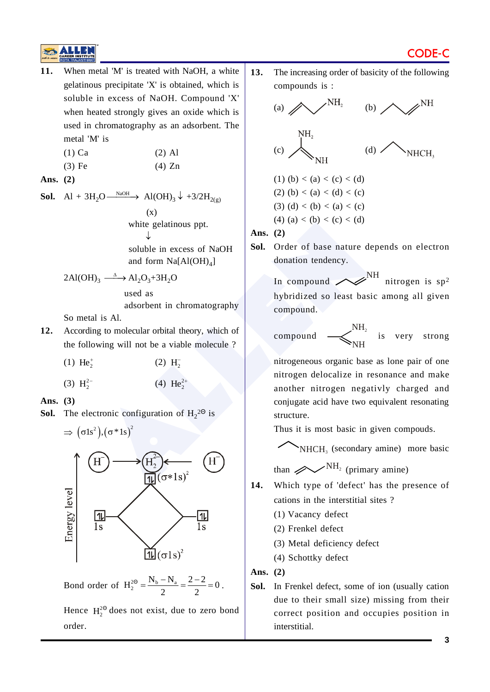

$$
(1) Ca \t(2) Al
$$

| $(3)$ Fe | $(4)$ Zn |
|----------|----------|

**Ans. (2)**

**Sol.** Al + 3H<sub>2</sub>O  $\frac{\text{NaOH}}{\text{NaOH}}$  Al(OH)<sub>3</sub>  $\downarrow$  +3/2H<sub>2(g)</sub> (x) white gelatinous ppt.  $\downarrow$  soluble in excess of NaOH and form  $Na[A(OH)_4]$ 

$$
2\text{Al}(\text{OH})_3 \xrightarrow{\Delta} \text{Al}_2\text{O}_3 + 3\text{H}_2\text{O}
$$

used as

adsorbent in chromatography

So metal is Al.

- **12.** According to molecular orbital theory, which of the following will not be a viable molecule ?
	- (1)  $He_2^+$ (2)  $H_2^-$
	- (3)  $H_2^2$ - (4)  $\text{He}_2^{2+}$

**Ans. (3)**

**Sol.** The electronic configuration of  $H_2^{2\Theta}$  is



Bond order of  $H_2^{2\Theta} = \frac{N_b - N_a}{2} = \frac{2 - 2}{2} = 0$ .

Hence  $H_2^{20}$  does not exist, due to zero bond order.

**13.** The increasing order of basicity of the following compounds is :



**Sol.** Order of base nature depends on electron donation tendency.

> In compound  $\swarrow$ <sup>NH</sup> nitrogen is sp<sup>2</sup> hybridized so least basic among all given compound.

$$
\text{compound} \quad \longrightarrow_{\text{NH}}^{\text{NH}_2} \quad \text{is} \quad \text{very} \quad \text{strong}
$$

nitrogeneous organic base as lone pair of one nitrogen delocalize in resonance and make another nitrogen negativly charged and conjugate acid have two equivalent resonating structure.

Thus it is most basic in given compouds.

NHCH 3 (secondary amine) more basic

than  $\mathscr{D}^{\text{NH}_2}$  (primary amine)

- **14.** Which type of 'defect' has the presence of cations in the interstitial sites ?
	- (1) Vacancy defect
	- (2) Frenkel defect
	- (3) Metal deficiency defect
	- (4) Schottky defect

**Ans. (2)**

**Sol.** In Frenkel defect, some of ion (usually cation due to their small size) missing from their correct position and occupies position in interstitial.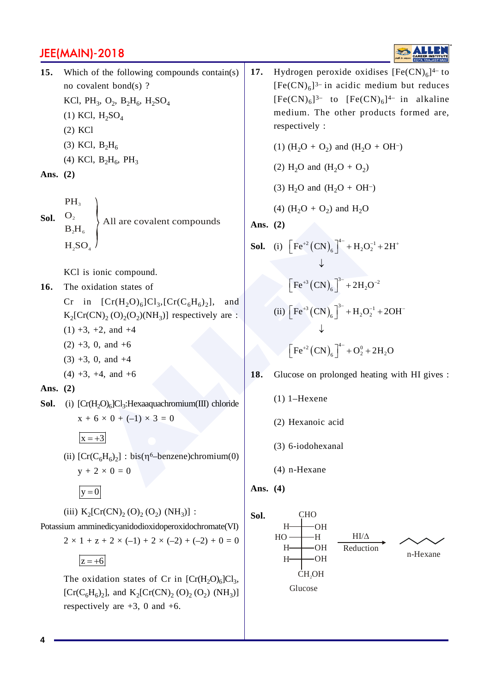

- (3) KCl,  $B_2H_6$
- (4) KCl,  $B_2H_6$ ,  $PH_3$

**Ans. (2)**

**Sol.** PH<sub>3</sub>  $O<sub>2</sub>$  $B_2H_6$  $H<sub>a</sub>SO<sub>a</sub>$ All are covalent compounds

KCl is ionic compound.

- **16.** The oxidation states of
	- Cr in  $[Cr(H<sub>2</sub>O)<sub>6</sub>]Cl<sub>3</sub>, [Cr(C<sub>6</sub>H<sub>6</sub>)<sub>2</sub>],$  and  $K_2[\text{Cr(CN)}_2(O_2(O_2)(NH_3)]$  respectively are :
	- $(1) +3$ ,  $+2$ , and  $+4$
	- $(2) +3$ , 0, and  $+6$
	- $(3) +3$ , 0, and  $+4$
	- $(4) +3$ ,  $+4$ , and  $+6$
- **Ans. (2)**
- **Sol.** (i)  $[Cr(H<sub>2</sub>O)<sub>6</sub>]Cl<sub>3</sub>:Hexaaquachromium(III) chloride$  $x + 6 \times 0 + (-1) \times 3 = 0$

 $x = +3$ 

- (ii)  $[Cr(C_6H_6)_2]$ : bis( $\eta^6$ -benzene)chromium(0)  $y + 2 \times 0 = 0$ 
	- $|y = 0|$
- (iii)  $K_2[Cr(CN)_2(O)_2(O_2) (NH_3)]$ :

Potassium amminedicyanidodioxidoperoxidochromate(VI)  $2 \times 1 + z + 2 \times (-1) + 2 \times (-2) + (-2) + 0 = 0$ 

 $|z = +6|$ 

The oxidation states of Cr in  $[Cr(H<sub>2</sub>O)<sub>6</sub>]Cl<sub>3</sub>$ , [ $Cr(C_6H_6)_2$ ], and  $K_2[Cr(CN)_2 (O)_2 (O_2) (NH_3)]$ respectively are  $+3$ , 0 and  $+6$ .

**17.** Hydrogen peroxide oxidises  $[Fe(CN)<sub>6</sub>]^{4-}$  to  $[Fe(CN)<sub>6</sub>]$ <sup>3-</sup> in acidic medium but reduces  $[Fe(CN)<sub>6</sub>]$ <sup>3-</sup> to  $[Fe(CN)<sub>6</sub>]$ <sup>4-</sup> in alkaline medium. The other products formed are, respectively :

(1)  $(H_2O + O_2)$  and  $(H_2O + OH^{-})$ 

- (2)  $H_2O$  and  $(H_2O + O_2)$
- (3)  $H_2O$  and  $(H_2O + OH^{-})$
- (4)  $(H_2O + O_2)$  and  $H_2O$

**Ans. (2)**

- All are covalent compounds<br>
ionic compound.<br>
idation states of<br>  $[Cr(H_2O)_6]Cl_3,[Cr(C_6H_6)_2]$ , and<br>  $\rightarrow$   $[Pr^{0^{-2}}(CN)_6]^+ + H_2O_2^{-1} + 2H_3O^{-2}$ <br>  $\rightarrow$   $[Pr^{0^{-3}}(CN)_6]^+ + 2H_2O^{-2}$ <br>  $\rightarrow$   $[Pr^{0^{-3}}(CN)_6]^+ + 2H_2O^{-2}$ <br>  $\rightarrow$   $[Pr^{0^{-3}}(CN)_6]^+$ **Sol.** (i)  $\left[ \text{Fe}^{+2} (\text{CN})_6 \right]^{4-} + \text{H}_2\text{O}_2^{-1} + 2\text{H}^+$  $\downarrow$  $\left[ \text{Fe}^{+3} (\text{CN})_6 \right]^{3-} + 2 \text{H}_2 \text{O}^{-2}$ (ii)  $\left[ \text{Fe}^{+3} (\text{CN})_6 \right]^{3-} + \text{H}_2\text{O}_2^{-1} + 2\text{OH}^{-}$ ↓  $\left[ \text{Fe}^{+2} (\text{CN})_6 \right]^{4-} + \text{O}_2^0 + 2 \text{H}_2 \text{O}$ 
	- **18.** Glucose on prolonged heating with HI gives :
		- (1) 1–Hexene
		- (2) Hexanoic acid
		- (3) 6-iodohexanal
		- (4) n-Hexane

**Ans. (4)**

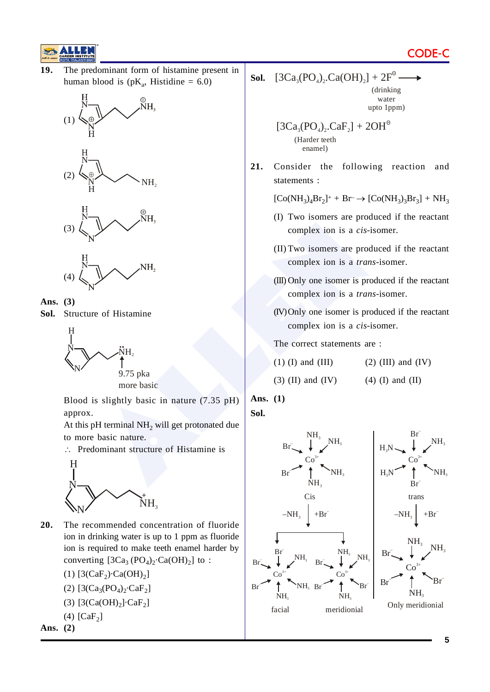

**19.** The predominant form of histamine present in human blood is  $(pK_a, Histidine = 6.0)$ 











**Sol.** Structure of Histamine



Blood is slightly basic in nature (7.35 pH) approx.

At this pH terminal  $NH<sub>2</sub>$  will get protonated due to more basic nature.

 $\therefore$  Predominant structure of Histamine is



- **20.** The recommended concentration of fluoride ion in drinking water is up to 1 ppm as fluoride ion is required to make teeth enamel harder by converting  $[3Ca<sub>3</sub> (PO<sub>4</sub>)<sub>2</sub> \text{Ca(OH)}<sub>2</sub>]$  to :
	- (1)  $[3(CaF_2) \cdot Ca(OH)_2]$
	- (2)  $[3(Ca_3(PO_4)_2 \cdot CaF_2]$

$$
(3) [3(Ca(OH)2]\cdot CaF2]
$$

(4)  $[CaF_2]$ **Ans. (2)**

**Sol.**  $[3Ca_{3}(PO_{4})_{2}.Ca(OH)_{2}] + 2F^{0}$ (drinking water upto 1ppm)

$$
[3Ca3(PO4)2.CaF2] + 2OH°
$$
  
(Harder teeth  
enamel)

**21.** Consider the following reaction and statements :

 $[Co(NH_3)_4Br_2]^+ + Br^- \rightarrow [Co(NH_3)_3Br_3] + NH_3$ 

- (I) Two isomers are produced if the reactant complex ion is a *cis*-isomer.
- (II) Two isomers are produced if the reactant complex ion is a *trans-*isomer.
- (III) Only one isomer is produced if the reactant complex ion is a *trans*-isomer.
- (IV)Only one isomer is produced if the reactant complex ion is a *cis*-isomer.

The correct statements are :

- (1) (I) and (III) (2) (III) and (IV)
- (3) (II) and (IV)  $(4)$  (I) and (II)

**Ans. (1)**

**Sol.**

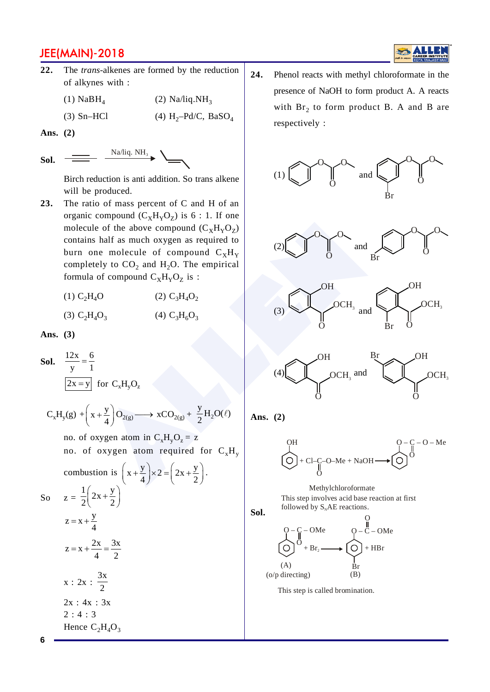

 $(1)$  NaBH<sub>4</sub>  $(2)$  Na/liq.NH<sub>3</sub>

(4)  $H_2-Pd/C$ , BaSO<sub>4</sub>  $(3)$  Sn-HCl

Ans.  $(2)$ 

Na/liq.  $NH_3$ Sol.

> Birch reduction is anti addition. So trans alkene will be produced.

23. The ratio of mass percent of C and H of an organic compound  $(C_xH_yO_z)$  is 6 : 1. If one molecule of the above compound  $(C_xH_yO_z)$ contains half as much oxygen as required to burn one molecule of compound  $C_xH_y$ completely to  $CO<sub>2</sub>$  and H<sub>2</sub>O. The empirical formula of compound  $C_xH_yO_z$  is:

> (2)  $C_3H_4O_2$  $(1) C<sub>2</sub>H<sub>4</sub>O$ (3)  $C_2H_4O_3$ (4)  $C_3H_6O_3$

Ans.  $(3)$ 

**Sol.**  $\frac{12x}{y} = \frac{6}{1}$  $\overline{2x = y}$  for  $C_xH_vO_z$  $C_xH_y(g) + \left(x + \frac{y}{4}\right)O_{2(g)} \longrightarrow xCO_{2(g)} + \frac{y}{2}H_2O(\ell)$ no. of oxygen atom in  $C_xH_vO_z = z$ no. of oxygen atom required for  $C_xH_y$ combustion is  $\left(x+\frac{y}{4}\right) \times 2 = \left(2x+\frac{y}{2}\right)$ . So  $z = \frac{1}{2} \left( 2x + \frac{y}{2} \right)$  $z = x + \frac{y}{4}$  $z = x + \frac{2x}{4} = \frac{3x}{2}$  $x : 2x : \frac{3x}{2}$  $2x : 4x : 3x$  $2:4:3$ Hence  $C_2H_4O_3$ 

24. Phenol reacts with methyl chloroformate in the presence of NaOH to form product A. A reacts with  $Br_2$  to form product B. A and B are respectively :









Ans. (2)

$$
\bigodot^{OH} + \text{Cl--C--O--Me} + \text{NaOH} \longrightarrow \bigodot^{O} \stackrel{\text{C--O--Me}}{\bigodot}
$$

Methylchloroformate This step involves acid base reaction at first followed by  $S_NAE$  reactions.



This step is called bromination.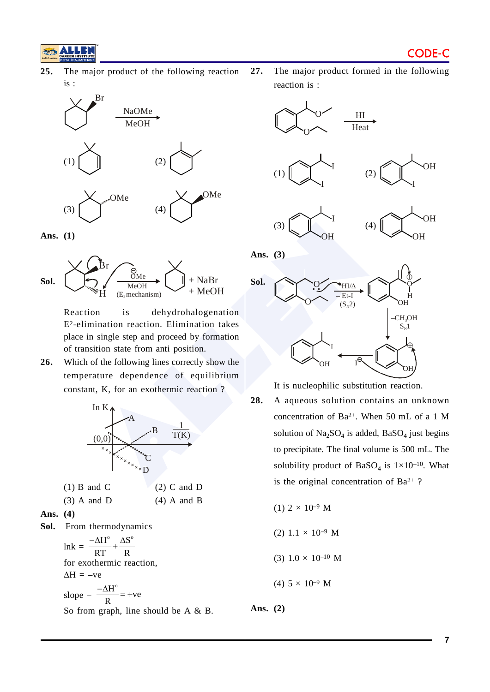

**25.** The major product of the following reaction is :



**Ans. (1)**



Reaction is dehydrohalogenation E2-elimination reaction. Elimination takes place in single step and proceed by formation of transition state from anti position.

**26.** Which of the following lines correctly show the temperature dependence of equilibrium constant, K, for an exothermic reaction ?



| $(3)$ A and D | $(4)$ A and B |
|---------------|---------------|
|               |               |

**Ans. (4)**

**Sol.** From thermodynamics

 $ln k = \frac{-\Delta H^{\circ}}{RT} + \frac{\Delta S^{\circ}}{R}$ RT R  $\frac{-\Delta H^{\circ}}{2} + \frac{\Delta S}{2}$ for exothermic reaction,  $\Delta H = -ve$ slope  $=$  $\frac{H^{\circ}}{H}$  = +ve R  $\frac{-\Delta H^{\circ}}{2}$  = +v So from graph, line should be A & B. **27.** The major product formed in the following reaction is :







**Ans. (3)**



It is nucleophilic substitution reaction.

**28.** A aqueous solution contains an unknown concentration of Ba2+. When 50 mL of a 1 M solution of  $Na<sub>2</sub>SO<sub>4</sub>$  is added, BaSO<sub>4</sub> just begins to precipitate. The final volume is 500 mL. The solubility product of BaSO<sub>4</sub> is  $1 \times 10^{-10}$ . What is the original concentration of Ba<sup>2+</sup>?

(1) 
$$
2 \times 10^{-9}
$$
 M  
(2)  $1.1 \times 10^{-9}$  M  
(3)  $1.0 \times 10^{-10}$  M  
(4)  $5 \times 10^{-9}$  M

**Ans. (2)**